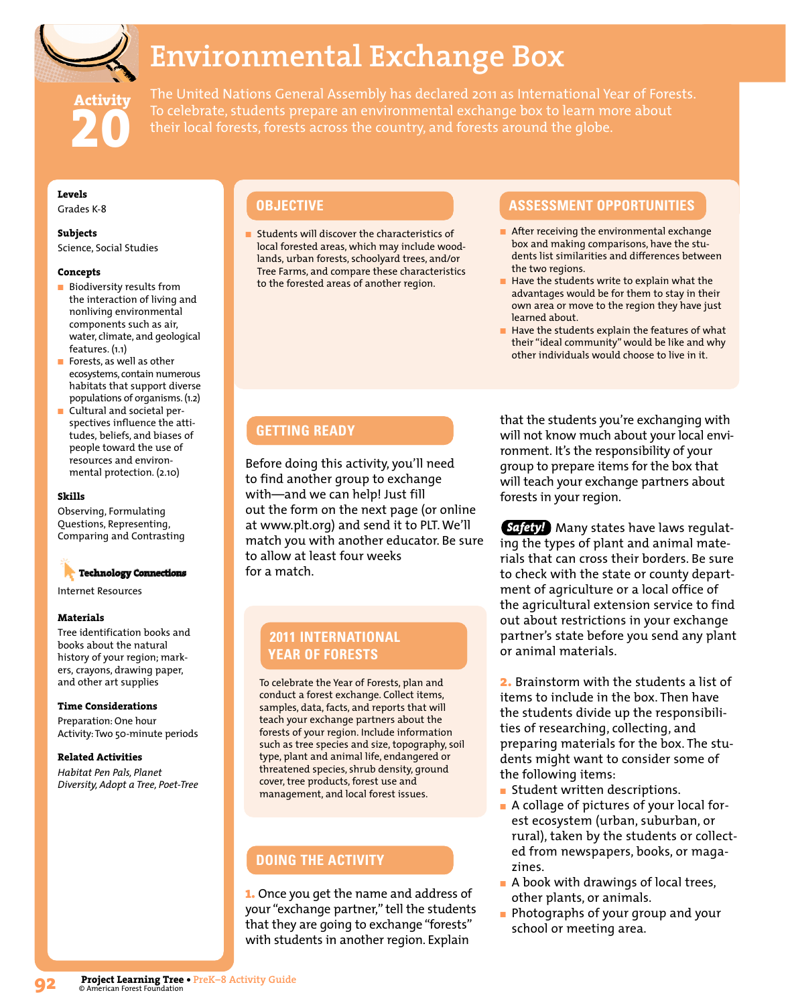

# **Environmental Exchange Box**

**Activity 20** The United Nations General Assembly has declared 2011 as International Year of Forests. To celebrate, students prepare an environmental exchange box to learn more about their local forests, forests across the country, and forests around the globe.

### **Levels**

Grades K-8

### **Subjects**

Science, Social Studies

### **Concepts**

- Biodiversity results from the interaction of living and nonliving environmental components such as air, water, climate, and geological features. (1.1)
- Forests, as well as other ecosystems, contain numerous habitats that support diverse populations of organisms. (1.2)
- Cultural and societal perspectives influence the attitudes, beliefs, and biases of people toward the use of resources and environmental protection. (2.10)

### **Skills**

Observing, Formulating Questions, Representing, Comparing and Contrasting

## **Technology Connections**

Internet Resources

### **Materials**

Tree identification books and books about the natural history of your region; markers, crayons, drawing paper, and other art supplies

### **Time Considerations**

Preparation: One hour Activity: Two 50-minute periods

### **Related Activities**

*Habitat Pen Pals, Planet Diversity, Adopt a Tree, Poet-Tree*

■ Students will discover the characteristics of local forested areas, which may include woodlands, urban forests, schoolyard trees, and/or Tree Farms, and compare these characteristics to the forested areas of another region.

### **OBJECTIVE ASSESSMENT OPPORTUNITIES**

- After receiving the environmental exchange box and making comparisons, have the students list similarities and differences between the two regions.
- Have the students write to explain what the advantages would be for them to stay in their own area or move to the region they have just learned about.
- Have the students explain the features of what their "ideal community" would be like and why other individuals would choose to live in it.

### **GETTING READY**

Before doing this activity, you'll need to find another group to exchange with—and we can help! Just fill out the form on the next page (or online at www.plt.org) and send it to PLT. We'll match you with another educator. Be sure to allow at least four weeks for a match.

### **2011 INTERNATIONAL YEAR OF FORESTS**

To celebrate the Year of Forests, plan and conduct a forest exchange. Collect items, samples, data, facts, and reports that will teach your exchange partners about the forests of your region. Include information such as tree species and size, topography, soil type, plant and animal life, endangered or threatened species, shrub density, ground cover, tree products, forest use and management, and local forest issues.

### **DOING THE ACTIVITY**

**1.** Once you get the name and address of your "exchange partner," tell the students that they are going to exchange "forests" with students in another region. Explain

that the students you're exchanging with will not know much about your local environment. It's the responsibility of your group to prepare items for the box that will teach your exchange partners about forests in your region.

Safetyl Many states have laws regulating the types of plant and animal materials that can cross their borders. Be sure to check with the state or county department of agriculture or a local office of the agricultural extension service to find out about restrictions in your exchange partner's state before you send any plant or animal materials.

**2.** Brainstorm with the students a list of items to include in the box. Then have the students divide up the responsibilities of researching, collecting, and preparing materials for the box. The students might want to consider some of the following items:

- Student written descriptions.
- A collage of pictures of your local forest ecosystem (urban, suburban, or rural), taken by the students or collected from newspapers, books, or magazines.
- A book with drawings of local trees, other plants, or animals.
- Photographs of your group and your school or meeting area.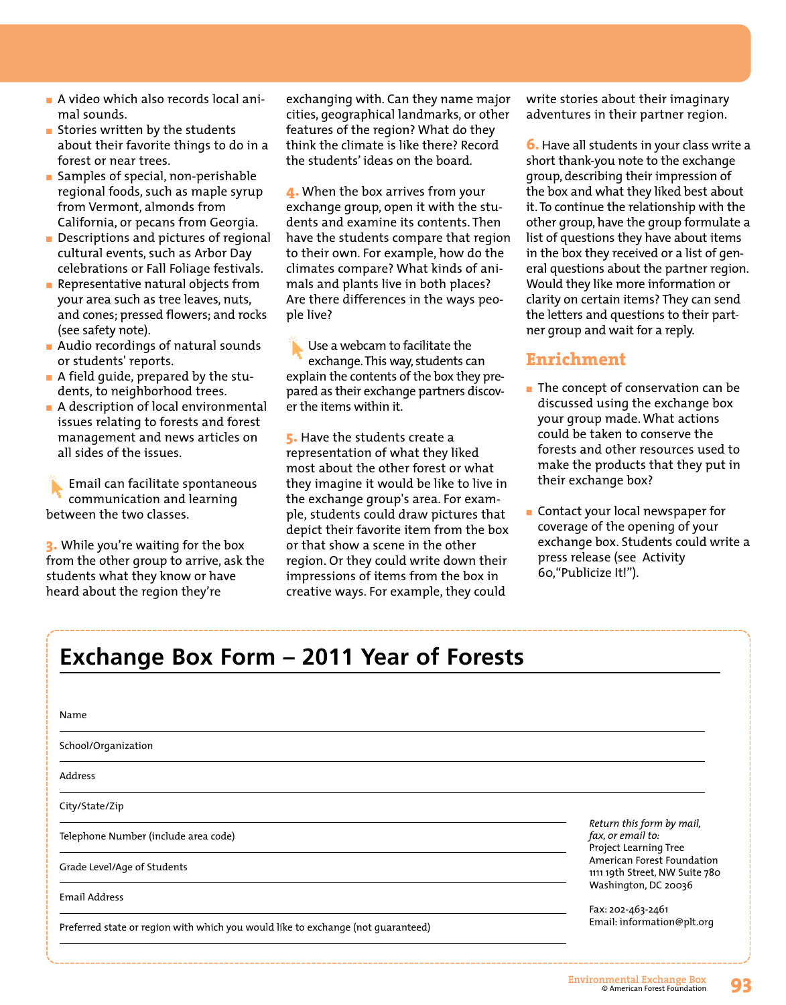- A video which also records local animal sounds.
- Stories written by the students about their favorite things to do in a forest or near trees.
- Samples of special, non-perishable regional foods, such as maple syrup from Vermont, almonds from California, or pecans from Georgia.
- Descriptions and pictures of regional cultural events, such as Arbor Day celebrations or Fall Foliage festivals.
- Representative natural objects from your area such as tree leaves, nuts, and cones; pressed flowers; and rocks (see safety note).
- Audio recordings of natural sounds or students' reports.
- A field quide, prepared by the students, to neighborhood trees.
- $\blacksquare$  A description of local environmental issues relating to forests and forest management and news articles on all sides of the issues.

Email can facilitate spontaneous communication and learning between the two classes.

**3.** While you're waiting for the box from the other group to arrive, ask the students what they know or have heard about the region they're

exchanging with. Can they name major cities, geographical landmarks, or other features of the region? What do they think the climate is like there? Record the students' ideas on the board.

**4.** When the box arrives from your exchange group, open it with the students and examine its contents. Then have the students compare that region to their own. For example, how do the climates compare? What kinds of animals and plants live in both places? Are there differences in the ways people live?

Use a webcam to facilitate the exchange. This way, students can explain the contents of the box they prepared as their exchange partners discover the items within it.

**5.** Have the students create a representation of what they liked most about the other forest or what they imagine it would be like to live in the exchange group's area. For exam ple, students could draw pictures that depict their favorite item from the box or that show a scene in the other region. Or they could write down their impressions of items from the box in creative ways. For example, they could

write stories about their imaginary adventures in their partner region.

**6.** Have all students in your class write a short thank-you note to the exchange group, describing their impression of the box and what they liked best about it. To continue the relationship with the other group, have the group formulate a list of questions they have about items in the box they received or a list of general questions about the partner region. Would they like more information or clarity on certain items? They can send the letters and questions to their partner group and wait for a reply.

### **Enrichment**

- The concept of conservation can be discussed using the exchange box your group made. What actions could be taken to conserve the forests and other resources used to make the products that they put in their exchange box?
- Contact your local newspaper for coverage of the opening of your exchange box. Students could write a press release (see Activity 60,"Publicize It!").

# **Exchange Box Form – 2011 Year of Forests**

| Name                                                                             |                                                                                                                                         |
|----------------------------------------------------------------------------------|-----------------------------------------------------------------------------------------------------------------------------------------|
| School/Organization                                                              |                                                                                                                                         |
| Address                                                                          |                                                                                                                                         |
| City/State/Zip                                                                   |                                                                                                                                         |
| Telephone Number (include area code)                                             | Return this form by mail,<br>fax, or email to:<br>Project Learning Tree<br>American Forest Foundation<br>1111 19th Street, NW Suite 780 |
| Grade Level/Age of Students                                                      |                                                                                                                                         |
| Email Address                                                                    | Washington, DC 20036                                                                                                                    |
| Preferred state or region with which you would like to exchange (not quaranteed) | Fax: 202-463-2461<br>Email: information@plt.org                                                                                         |